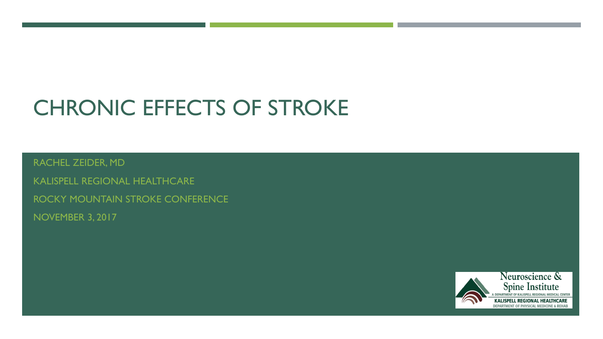# CHRONIC EFFECTS OF STROKE

RACHEL ZEIDER, MD

KALISPELL REGIONAL HEALTHCARE ROCKY MOUNTAIN STROKE CONFERENCE NOVEMBER 3, 2017

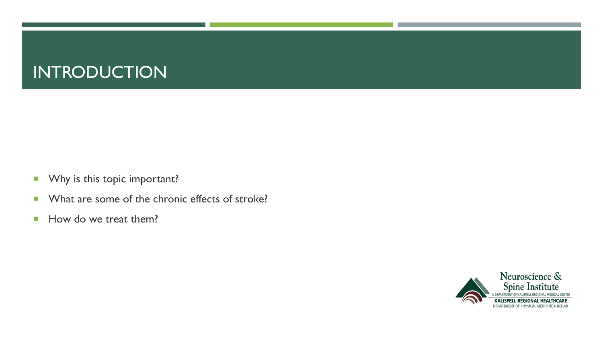# **INTRODUCTION**

- **Why is this topic important?**
- **Notable 1 What are some of the chronic effects of stroke?**
- How do we treat them?

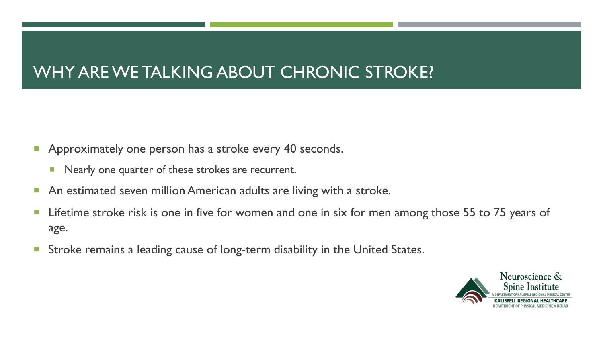# WHY ARE WE TALKING ABOUT CHRONIC STROKE?

- **Approximately one person has a stroke every 40 seconds.** 
	- **Nearly one quarter of these strokes are recurrent.**
- **An estimated seven million American adults are living with a stroke.**
- **Lifetime stroke risk is one in five for women and one in six for men among those 55 to 75 years of** age.
- **Stroke remains a leading cause of long-term disability in the United States.**

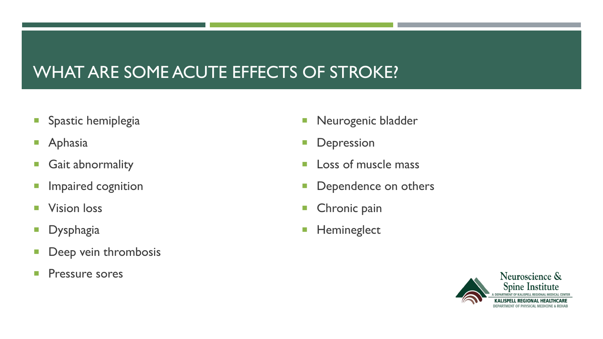# WHAT ARE SOME ACUTE EFFECTS OF STROKE?

- **Spastic hemiplegia**
- **Aphasia**
- **Gait abnormality**
- **Impaired cognition**
- **Vision loss**
- **Dysphagia**
- **Deep vein thrombosis**
- **Pressure sores**
- **Neurogenic bladder**
- **Depression**
- **Loss of muscle mass**
- **Dependence on others**
- **Chronic pain**
- **Hemineglect**

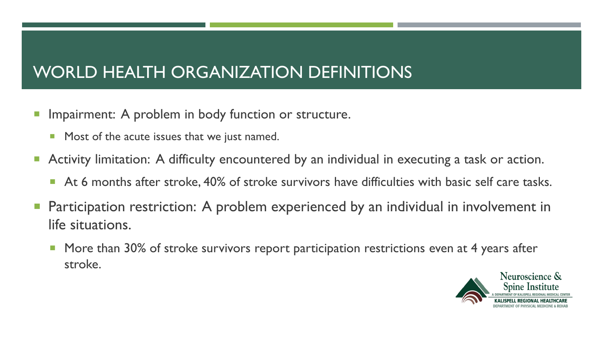# WORLD HEALTH ORGANIZATION DEFINITIONS

- **Impairment: A problem in body function or structure.** 
	- **Most of the acute issues that we just named.**
- **Activity limitation: A difficulty encountered by an individual in executing a task or action.** 
	- At 6 months after stroke, 40% of stroke survivors have difficulties with basic self care tasks.
- Participation restriction: A problem experienced by an individual in involvement in life situations.
	- **More than 30% of stroke survivors report participation restrictions even at 4 years after** stroke.

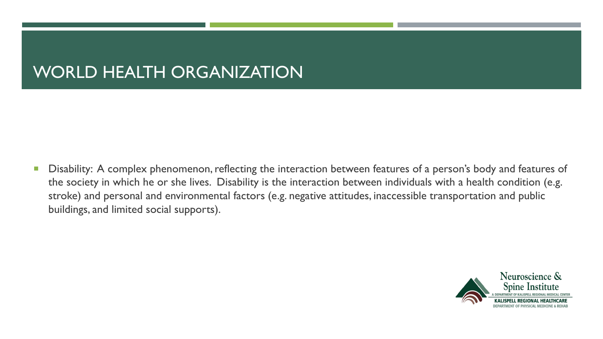# WORLD HEALTH ORGANIZATION

**Disability: A complex phenomenon, reflecting the interaction between features of a person's body and features of** the society in which he or she lives. Disability is the interaction between individuals with a health condition (e.g. stroke) and personal and environmental factors (e.g. negative attitudes, inaccessible transportation and public buildings, and limited social supports).

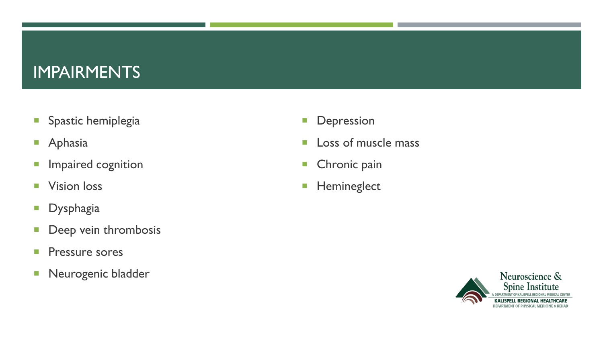### IMPAIRMENTS

- **Spastic hemiplegia**
- **Aphasia**
- **Impaired cognition**
- **Vision loss**
- **Dysphagia**
- Deep vein thrombosis
- **Pressure sores**
- **Neurogenic bladder**
- **Depression**
- **Loss of muscle mass**
- **Chronic pain**
- **Hemineglect**

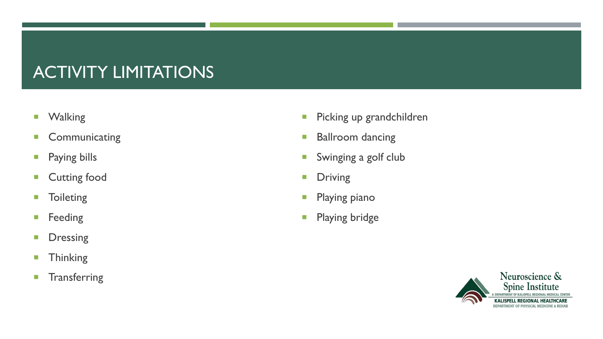# ACTIVITY LIMITATIONS

- **Nalking**
- **Communicating**
- **Paying bills**
- **Cutting food**
- **Toileting**
- **Feeding**
- **Dressing**
- **Thinking**
- **Transferring**
- **Picking up grandchildren**
- **Ballroom dancing**
- **Swinging a golf club**
- **Driving**
- **Playing piano**
- **Playing bridge**

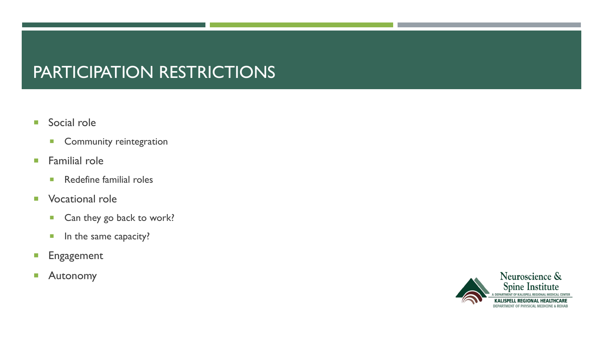# PARTICIPATION RESTRICTIONS

- Social role
	- **Community reintegration**
- **Familial role** 
	- **Redefine familial roles**
- **Vocational role** 
	- Can they go back to work?
	- **In the same capacity?**
- **Engagement**
- **Autonomy**

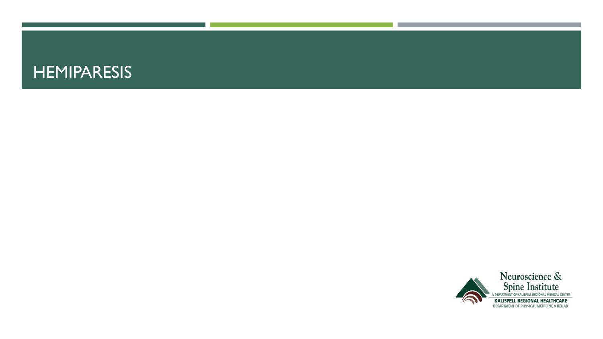### **HEMIPARESIS**

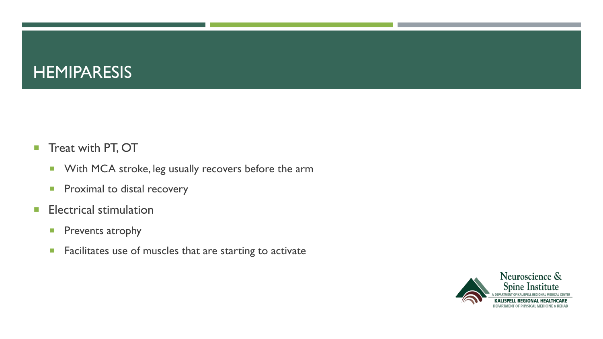### **HEMIPARESIS**

- Treat with PT, OT
	- **With MCA stroke, leg usually recovers before the arm**
	- **Proximal to distal recovery**
- **Electrical stimulation** 
	- **Prevents atrophy**
	- **Facilitates use of muscles that are starting to activate**

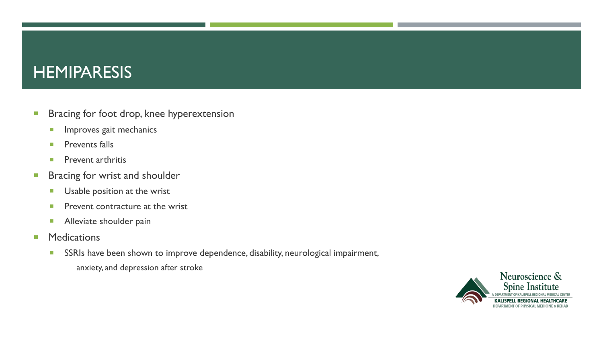### **HEMIPARESIS**

- **Bracing for foot drop, knee hyperextension** 
	- **Improves gait mechanics**
	- **Prevents falls**
	- **Prevent arthritis**
- **Bracing for wrist and shoulder** 
	- **Usable position at the wrist**
	- **Prevent contracture at the wrist**
	- **Alleviate shoulder pain**
- **Medications** 
	- SSRIs have been shown to improve dependence, disability, neurological impairment, anxiety, and depression after stroke

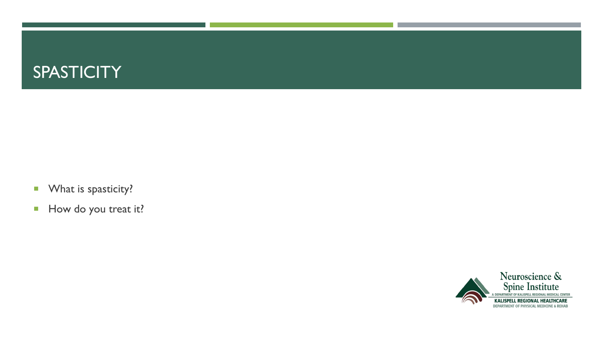

- **What is spasticity?**
- How do you treat it?

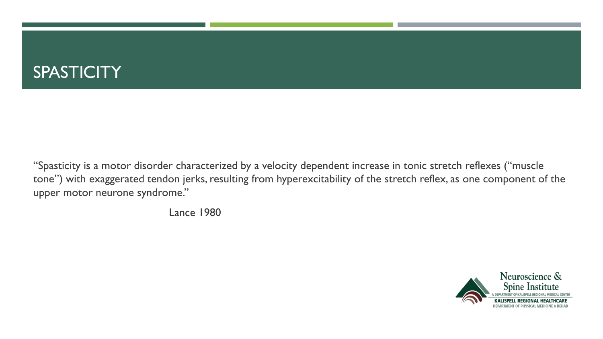"Spasticity is a motor disorder characterized by a velocity dependent increase in tonic stretch reflexes ("muscle tone") with exaggerated tendon jerks, resulting from hyperexcitability of the stretch reflex, as one component of the upper motor neurone syndrome."

Lance 1980

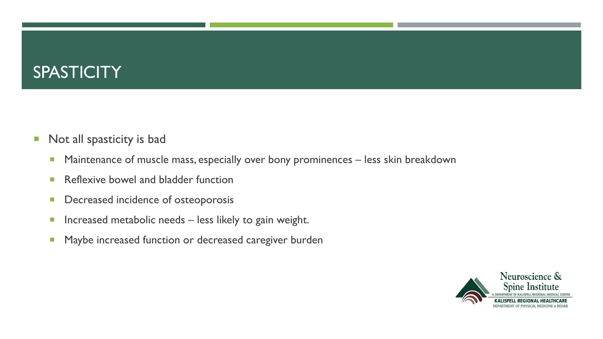- **Not all spasticity is bad** 
	- **Maintenance of muscle mass, especially over bony prominences less skin breakdown**
	- **Reflexive bowel and bladder function**
	- **Decreased incidence of osteoporosis**
	- **Increased metabolic needs less likely to gain weight.**
	- **Maybe increased function or decreased caregiver burden**

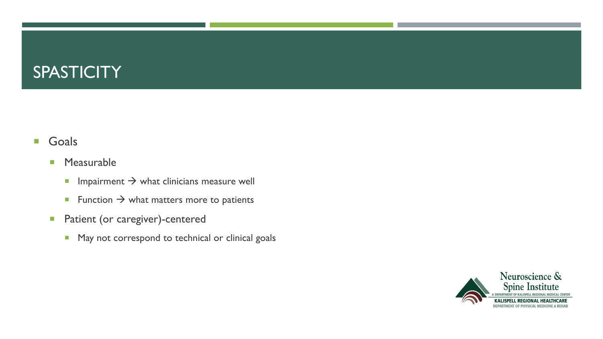#### **Goals**

#### **Measurable**

- Impairment  $\rightarrow$  what clinicians measure well
- Function  $\rightarrow$  what matters more to patients
- **Patient (or caregiver)-centered** 
	- **May not correspond to technical or clinical goals**

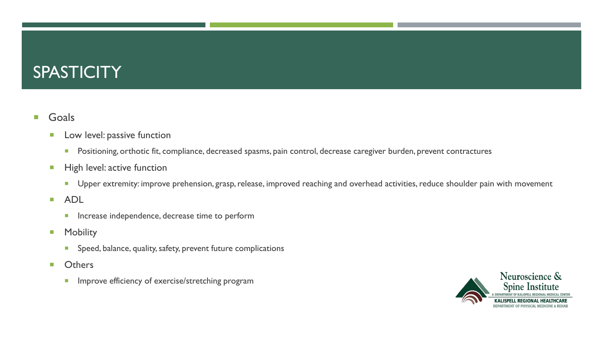#### **Goals**

- **Low level: passive function** 
	- **Positioning, orthotic fit, compliance, decreased spasms, pain control, decrease caregiver burden, prevent contractures**
- **High level: active function** 
	- **Upper extremity: improve prehension, grasp, release, improved reaching and overhead activities, reduce shoulder pain with movement**
- ADL
	- **Increase independence, decrease time to perform**
- **Nobility** 
	- **Speed, balance, quality, safety, prevent future complications**
- **D** Others
	- **Improve efficiency of exercise/stretching program**

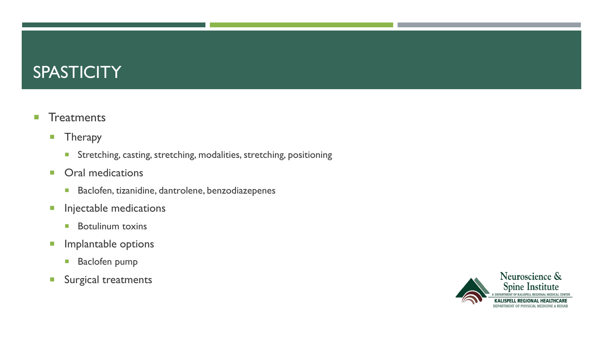#### **Treatments**

- **Therapy** 
	- **Stretching, casting, stretching, modalities, stretching, positioning**
- **Oral medications** 
	- **Baclofen, tizanidine, dantrolene, benzodiazepenes**
- **Injectable medications** 
	- **Botulinum toxins**
- **Implantable options** 
	- **Baclofen pump**
- **Surgical treatments**

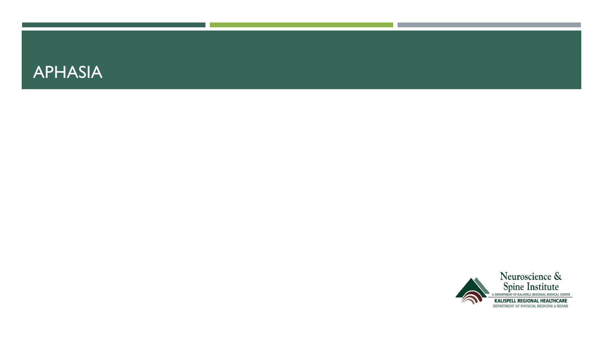

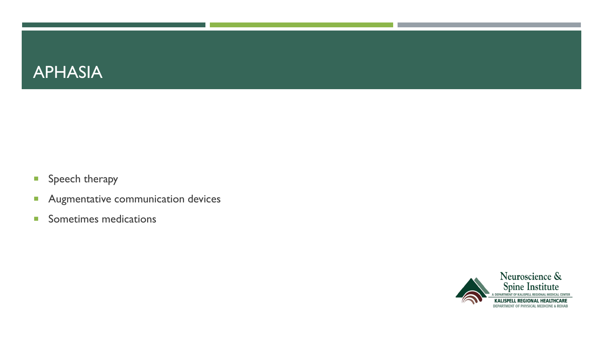

- **Speech therapy**
- **Augmentative communication devices**
- **Sometimes medications**

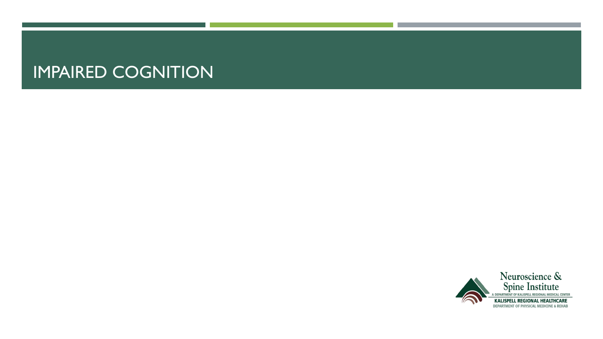### IMPAIRED COGNITION

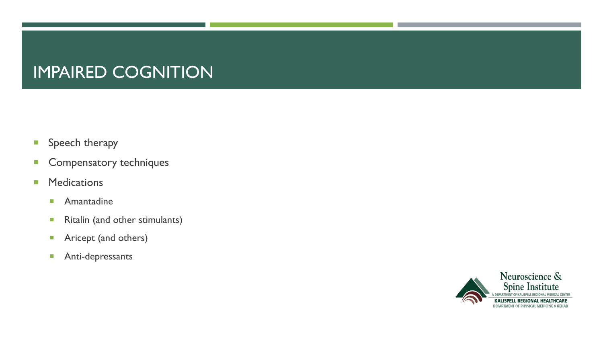# IMPAIRED COGNITION

- **Speech therapy**
- **Compensatory techniques**
- **Medications** 
	- **Amantadine**
	- Ritalin (and other stimulants)
	- **Aricept (and others)**
	- **Anti-depressants**

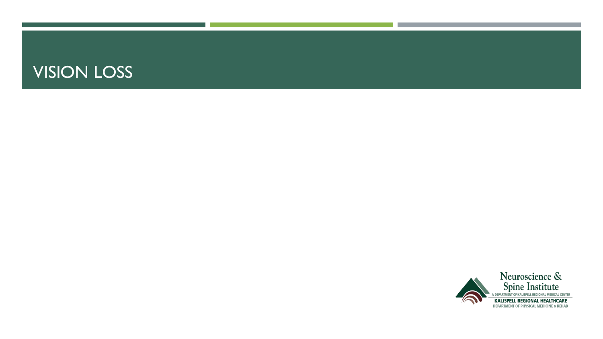### VISION LOSS

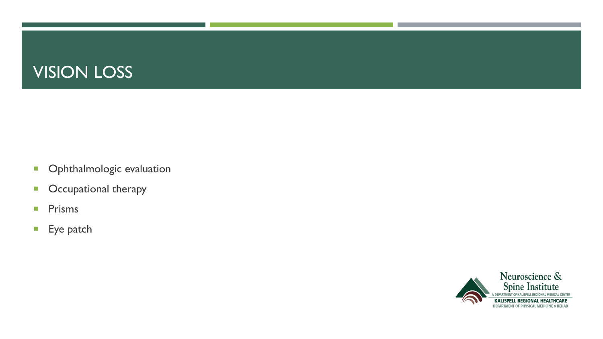# VISION LOSS

- **•** Ophthalmologic evaluation
- **•** Occupational therapy
- **Prisms**
- **Eye patch**

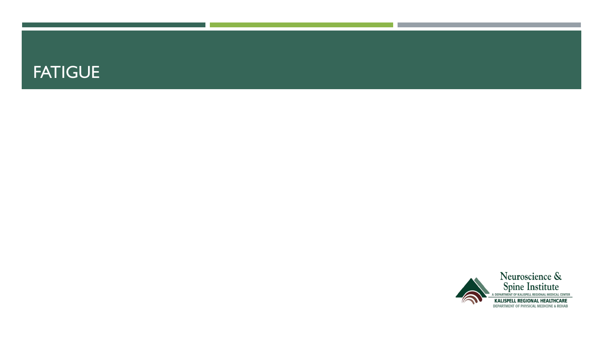### FATIGUE

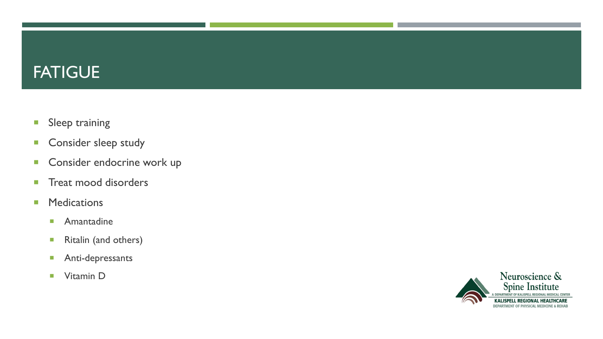# **FATIGUE**

- **Sleep training**
- **Consider sleep study**
- **Consider endocrine work up**
- **Treat mood disorders**
- **Medications** 
	- **Amantadine**
	- **Ritalin (and others)**
	- **Anti-depressants**
	- **Vitamin D**

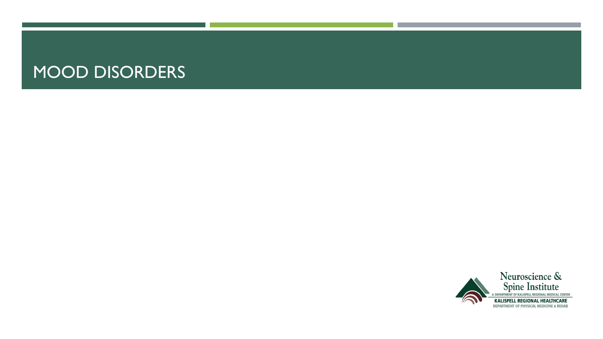### MOOD DISORDERS

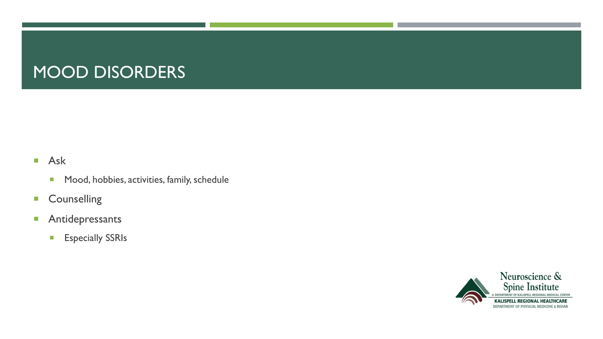# MOOD DISORDERS

#### **Ask**

- **Mood, hobbies, activities, family, schedule**
- **Counselling**
- **Antidepressants** 
	- **Especially SSRIs**

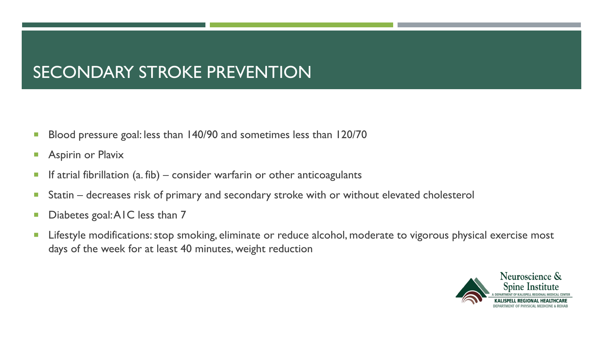# SECONDARY STROKE PREVENTION

- Blood pressure goal: less than 140/90 and sometimes less than 120/70
- **Aspirin or Plavix**
- If atrial fibrillation  $(a, fib)$  consider warfarin or other anticoagulants
- Statin decreases risk of primary and secondary stroke with or without elevated cholesterol
- Diabetes goal: AIC less than 7
- **Lifestyle modifications: stop smoking, eliminate or reduce alcohol, moderate to vigorous physical exercise most** days of the week for at least 40 minutes, weight reduction

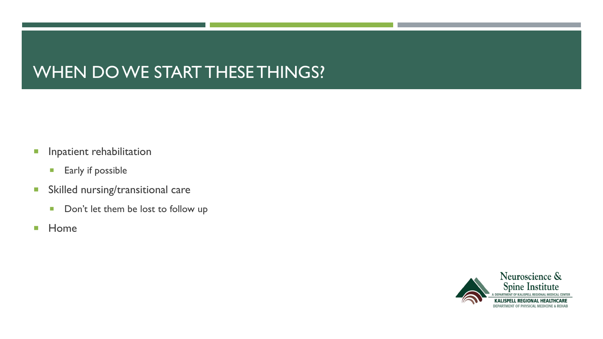# WHEN DO WE START THESE THINGS?

- **Inpatient rehabilitation** 
	- **Early if possible**
- **Skilled nursing/transitional care** 
	- Don't let them be lost to follow up
- **Home**

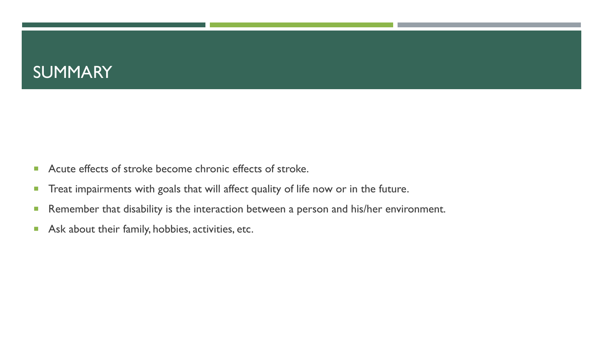### SUMMARY

- Acute effects of stroke become chronic effects of stroke.
- **Treat impairments with goals that will affect quality of life now or in the future.**
- **Remember that disability is the interaction between a person and his/her environment.**
- Ask about their family, hobbies, activities, etc.